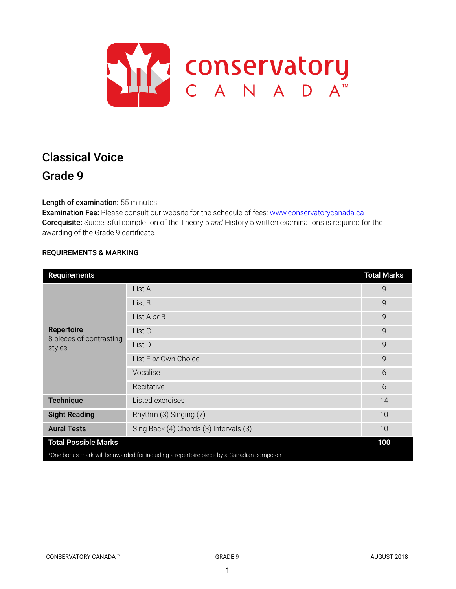

# Classical Voice Grade 9

# Length of examination: 55 minutes

Examination Fee: Please consult our website for the schedule of fees: www.conservatorycanada.ca Corequisite: Successful completion of the Theory 5 *and* History 5 written examinations is required for the awarding of the Grade 9 certificate.

# REQUIREMENTS & MARKING

| <b>Requirements</b>                                                                     |                                        | <b>Total Marks</b> |  |
|-----------------------------------------------------------------------------------------|----------------------------------------|--------------------|--|
| Repertoire<br>8 pieces of contrasting<br>styles                                         | List A                                 | 9                  |  |
|                                                                                         | List B                                 | $\mathsf{Q}$       |  |
|                                                                                         | List A or B                            | 9                  |  |
|                                                                                         | List C                                 | 9                  |  |
|                                                                                         | List D                                 | 9                  |  |
|                                                                                         | List E or Own Choice                   | 9                  |  |
|                                                                                         | Vocalise                               | 6                  |  |
|                                                                                         | Recitative                             | 6                  |  |
| <b>Technique</b>                                                                        | Listed exercises                       | 14                 |  |
| <b>Sight Reading</b>                                                                    | Rhythm (3) Singing (7)                 | 10                 |  |
| <b>Aural Tests</b>                                                                      | Sing Back (4) Chords (3) Intervals (3) | 10                 |  |
| <b>Total Possible Marks</b>                                                             |                                        |                    |  |
| *One bonus mark will be awarded for including a repertoire piece by a Canadian composer |                                        |                    |  |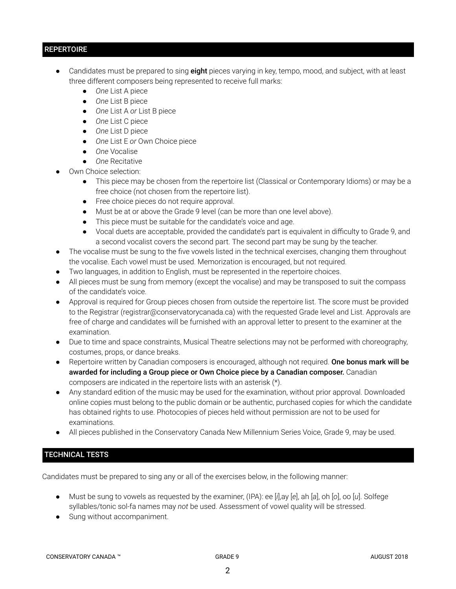# **REPERTOIRE**

- Candidates must be prepared to sing eight pieces varying in key, tempo, mood, and subject, with at least three different composers being represented to receive full marks:
	- *One* List A piece
	- *One* List B piece
	- *One* List A *or* List B piece
	- *One* List C piece
	- *One* List D piece
	- *One* List E *or* Own Choice piece
	- *One* Vocalise
	- *One* Recitative
- Own Choice selection:
	- This piece may be chosen from the repertoire list (Classical or Contemporary Idioms) or may be a free choice (not chosen from the repertoire list).
	- Free choice pieces do not require approval.
	- Must be at or above the Grade 9 level (can be more than one level above).
	- This piece must be suitable for the candidate's voice and age.
	- Vocal duets are acceptable, provided the candidate's part is equivalent in difficulty to Grade 9, and a second vocalist covers the second part. The second part may be sung by the teacher.
- The vocalise must be sung to the five vowels listed in the technical exercises, changing them throughout the vocalise. Each vowel must be used. Memorization is encouraged, but not required.
- Two languages, in addition to English, must be represented in the repertoire choices.
- All pieces must be sung from memory (except the vocalise) and may be transposed to suit the compass of the candidate's voice.
- Approval is required for Group pieces chosen from outside the repertoire list. The score must be provided to the Registrar (registrar@conservatorycanada.ca) with the requested Grade level and List. Approvals are free of charge and candidates will be furnished with an approval letter to present to the examiner at the examination.
- Due to time and space constraints, Musical Theatre selections may not be performed with choreography, costumes, props, or dance breaks.
- Repertoire written by Canadian composers is encouraged, although not required. One bonus mark will be awarded for including a Group piece or Own Choice piece by a Canadian composer. Canadian composers are indicated in the repertoire lists with an asterisk (\*).
- Any standard edition of the music may be used for the examination, without prior approval. Downloaded online copies must belong to the public domain or be authentic, purchased copies for which the candidate has obtained rights to use. Photocopies of pieces held without permission are not to be used for examinations.
- All pieces published in the Conservatory Canada New Millennium Series Voice, Grade 9, may be used.

# TECHNICAL TESTS

Candidates must be prepared to sing any or all of the exercises below, in the following manner:

- Must be sung to vowels as requested by the examiner, (IPA): ee [*i*],ay [*e*], ah [*a*], oh [*o*], oo [*u*]. Solfege syllables/tonic sol-fa names may *not* be used. Assessment of vowel quality will be stressed.
- Sung without accompaniment.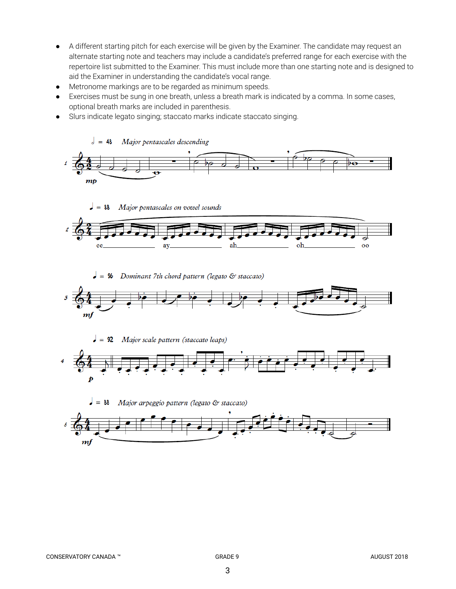- A different starting pitch for each exercise will be given by the Examiner. The candidate may request an alternate starting note and teachers may include a candidate's preferred range for each exercise with the repertoire list submitted to the Examiner. This must include more than one starting note and is designed to aid the Examiner in understanding the candidate's vocal range.
- Metronome markings are to be regarded as minimum speeds.
- Exercises must be sung in one breath, unless a breath mark is indicated by a comma. In some cases, optional breath marks are included in parenthesis.
- Slurs indicate legato singing; staccato marks indicate staccato singing.







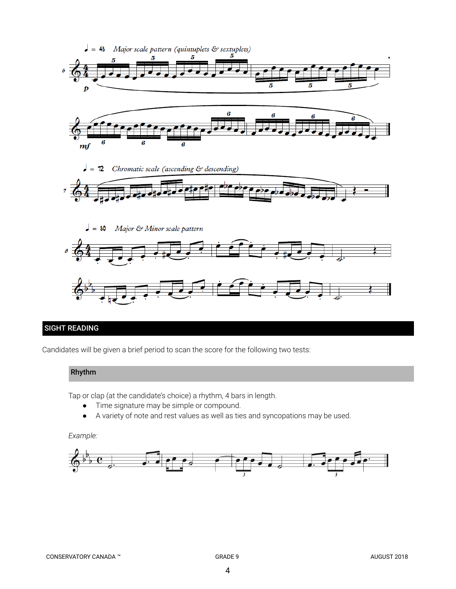

# SIGHT READING

Candidates will be given a brief period to scan the score for the following two tests:

# Rhythm

Tap or clap (at the candidate's choice) a rhythm, 4 bars in length.

- Time signature may be simple or compound.
- A variety of note and rest values as well as ties and syncopations may be used.

# *Example:*

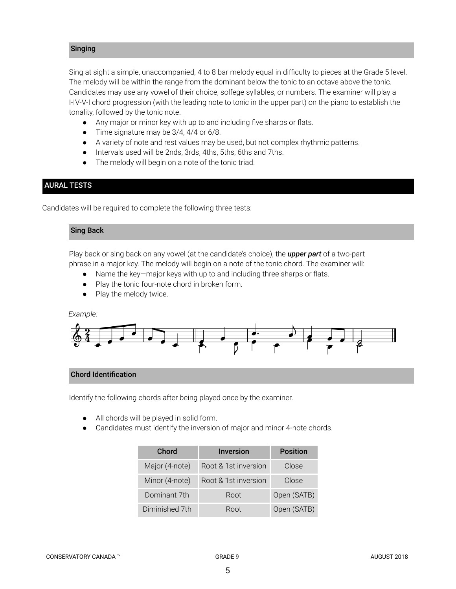# Singing

Sing at sight a simple, unaccompanied, 4 to 8 bar melody equal in difficulty to pieces at the Grade 5 level. The melody will be within the range from the dominant below the tonic to an octave above the tonic. Candidates may use any vowel of their choice, solfege syllables, or numbers. The examiner will play a I-IV-V-I chord progression (with the leading note to tonic in the upper part) on the piano to establish the tonality, followed by the tonic note.

- *●* Any major or minor key with up to and including five sharps or flats.
- *●* Time signature may be 3/4, 4/4 or 6/8.
- A variety of note and rest values may be used, but not complex rhythmic patterns.
- Intervals used will be 2nds, 3rds, 4ths, 5ths, 6ths and 7ths.
- The melody will begin on a note of the tonic triad.

# AURAL TESTS

Candidates will be required to complete the following three tests:

# Sing Back

Play back or sing back on any vowel (at the candidate's choice), the *upper part* of a two-part phrase in a major key. The melody will begin on a note of the tonic chord. The examiner will:

- Name the key—major keys with up to and including three sharps or flats.
- Play the tonic four-note chord in broken form.
- Play the melody twice.

# *Example:*



# Chord Identification

Identify the following chords after being played once by the examiner.

- All chords will be played in solid form.
- Candidates must identify the inversion of major and minor 4-note chords.

| Chord          | <b>Inversion</b>     | <b>Position</b> |
|----------------|----------------------|-----------------|
| Major (4-note) | Root & 1st inversion | Close           |
| Minor (4-note) | Root & 1st inversion | Close           |
| Dominant 7th   | Root                 | Open (SATB)     |
| Diminished 7th | Root                 | Open (SATB)     |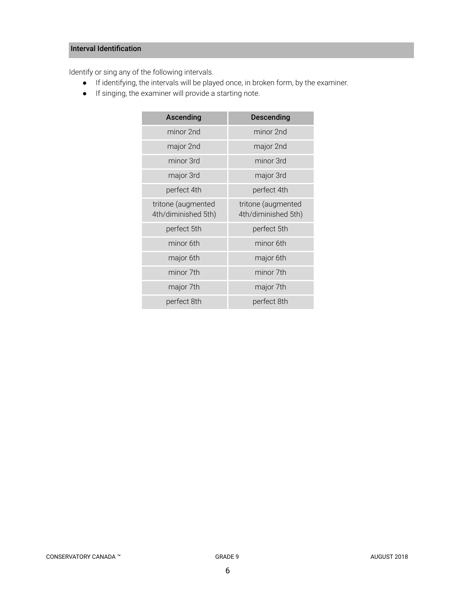# Interval Identification

Identify or sing any of the following intervals.

- If identifying, the intervals will be played once, in broken form, by the examiner.
- If singing, the examiner will provide a starting note.

| Ascending                                 | <b>Descending</b>                         |  |
|-------------------------------------------|-------------------------------------------|--|
| minor 2nd                                 | minor 2nd                                 |  |
| major 2nd                                 | major 2nd                                 |  |
| minor 3rd                                 | minor 3rd                                 |  |
| major 3rd                                 | major 3rd                                 |  |
| perfect 4th                               | perfect 4th                               |  |
| tritone (augmented<br>4th/diminished 5th) | tritone (augmented<br>4th/diminished 5th) |  |
| perfect 5th                               | perfect 5th                               |  |
| minor 6th                                 | minor 6th                                 |  |
| major 6th                                 | major 6th                                 |  |
| minor 7th                                 | minor 7th                                 |  |
| major 7th                                 | major 7th                                 |  |
| perfect 8th                               | perfect 8th                               |  |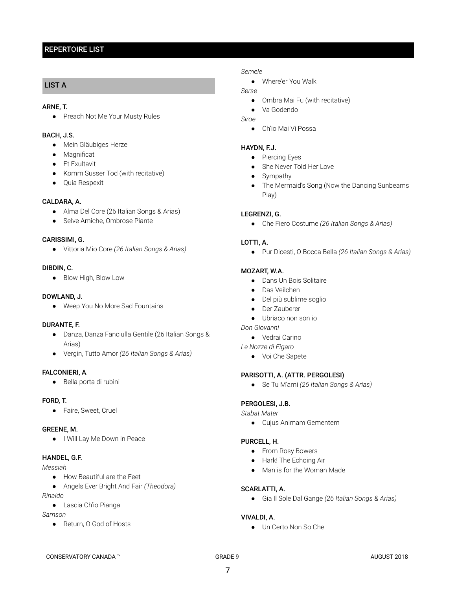# REPERTOIRE LIST

# LIST A

### ARNE, T.

● Preach Not Me Your Musty Rules

# BACH, J.S.

- Mein Gläubiges Herze
- Magnificat
- Et Exultavit
- Komm Susser Tod (with recitative)
- Quia Respexit

#### CALDARA, A.

- Alma Del Core (26 Italian Songs & Arias)
- Selve Amiche, Ombrose Piante

#### CARISSIMI, G.

● Vittoria Mio Core *(26 Italian Songs & Arias)*

#### DIBDIN, C.

● Blow High, Blow Low

### DOWLAND, J.

● Weep You No More Sad Fountains

# DURANTE, F.

- Danza, Danza Fanciulla Gentile (26 Italian Songs & Arias)
- Vergin, Tutto Amor *(26 Italian Songs & Arias)*

# FALCONIERI, A.

● Bella porta di rubini

#### FORD, T.

● Faire, Sweet, Cruel

#### GREENE, M.

● I Will Lay Me Down in Peace

# HANDEL, G.F.

#### *Messiah*

- How Beautiful are the Feet
- Angels Ever Bright And Fair *(Theodora)*

*Rinaldo*

● Lascia Ch'io Pianga

#### *Samson*

● Return, O God of Hosts

#### *Semele*

● Where'er You Walk

# *Serse*

● Ombra Mai Fu (with recitative)

● Va Godendo

- *Siroe*
	- Ch'io Mai Vi Possa

#### HAYDN, F.J.

- Piercing Eyes
- She Never Told Her Love
- Sympathy
- The Mermaid's Song (Now the Dancing Sunbeams Play)

# LEGRENZI, G.

● Che Fiero Costume *(26 Italian Songs & Arias)*

# LOTTI, A.

● Pur Dicesti, O Bocca Bella *(26 Italian Songs & Arias)*

#### MOZART, W.A.

- Dans Un Bois Solitaire
- Das Veilchen
- Del più sublime soglio
- Der Zauberer
- Ubriaco non son io
- *Don Giovanni*
	- Vedrai Carino

*Le Nozze di Figaro*

● Voi Che Sapete

# PARISOTTI, A. (ATTR. PERGOLESI)

● Se Tu M'ami *(26 Italian Songs & Arias)*

# PERGOLESI, J.B.

*Stabat Mater*

● Cujus Animam Gementem

#### PURCELL, H.

- From Rosy Bowers
- Hark! The Echoing Air
- Man is for the Woman Made

#### SCARLATTI, A.

● Gia Il Sole Dal Gange *(26 Italian Songs & Arias)*

# VIVALDI, A.

● Un Certo Non So Che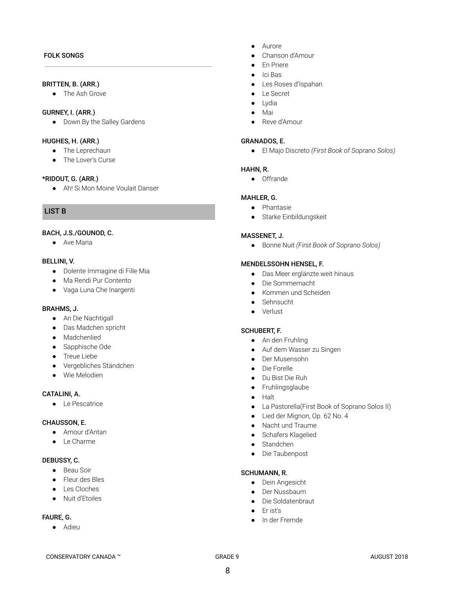# FOLK SONGS

#### BRITTEN, B. (ARR.)

● The Ash Grove

# GURNEY, I. (ARR.)

● Down By the Salley Gardens

#### HUGHES, H. (ARR.)

- The Leprechaun
- The Lover's Curse

#### \*RIDOUT, G. (ARR.)

● Ah! Si Mon Moine Voulait Danser

# LIST B

# BACH, J.S./GOUNOD, C.

● Ave Maria

#### BELLINI, V.

- Dolente Immagine di Fille Mia
- Ma Rendi Pur Contento
- Vaga Luna Che Inargenti

#### BRAHMS, J.

- An Die Nachtigall
- Das Madchen spricht
- Madchenlied
- Sapphische Ode
- Treue Liebe
- Vergebliches Ständchen
- Wie Melodien

### CATALINI, A.

● Le Pescatrice

#### CHAUSSON, E.

- Amour d'Antan
- Le Charme

#### DEBUSSY, C.

- Beau Soir
- Fleur des Bles
- Les Cloches
- Nuit d'Etoiles

# FAURE, G.

● Adieu

- Aurore
- Chanson d'Amour
- En Priere
- Ici Bas
- Les Roses d'Ispahan
- Le Secret
- Lydia
- Mai
- Reve d'Amour

#### GRANADOS, E.

● El Majo Discreto *(First Book of Soprano Solos)*

#### HAHN, R.

● Offrande

#### MAHLER, G.

- Phantasie
- Starke Einbildungskeit

#### MASSENET, J.

● Bonne Nuit *(First Book of Soprano Solos)*

#### MENDELSSOHN HENSEL, F.

- Das Meer erglänzte weit hinaus
- Die Sommernacht
- Kommen und Scheiden
- Sehnsucht
- Verlust

#### SCHUBERT, F.

- An den Fruhling
- Auf dem Wasser zu Singen
- Der Musensohn
- Die Forelle
- Du Bist Die Ruh
- Fruhlingsglaube
- Halt
- La Pastorella(First Book of Soprano Solos II)
- Lied der Mignon, Op. 62 No. 4
- Nacht und Traume
- Schafers Klagelied
- Standchen
- Die Taubenpost

#### SCHUMANN, R.

- Dein Angesicht
- Der Nussbaum
- Die Soldatenbraut
- Er ist's
- In der Fremde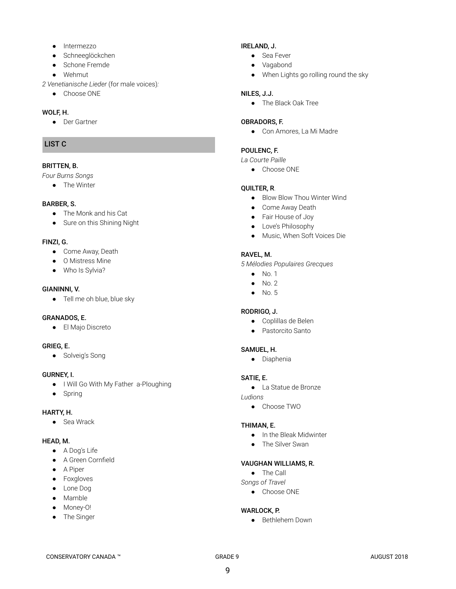- Intermezzo
- Schneeglöckchen
- Schone Fremde
- Wehmut
- *2 Venetianische Lieder* (for male voices) *:*
	- Choose ONE

# WOLF, H.

● Der Gartner

# LIST C

# BRITTEN, B.

*Four Burns Songs*

● The Winter

# BARBER, S.

- The Monk and his Cat
- Sure on this Shining Night

# FINZI, G.

- Come Away, Death
- O Mistress Mine
- Who Is Sylvia?

# GIANINNI, V.

● Tell me oh blue, blue sky

# GRANADOS, E.

● El Majo Discreto

# GRIEG, E.

● Solveig's Song

# GURNEY, I.

- I Will Go With My Father a-Ploughing
- Spring

# HARTY, H.

● Sea Wrack

# HEAD, M.

- A Dog's Life
- A Green Cornfield
- A Piper
- Foxgloves
- Lone Dog
- Mamble
- Money-O!
- The Singer

# IRELAND, J.

- Sea Fever
- Vagabond
- When Lights go rolling round the sky

# NILES, J.J.

● The Black Oak Tree

### OBRADORS, F.

● Con Amores, La Mi Madre

# POULENC, F.

# *La Courte Paille*

● Choose ONE

# **QUILTER, R.**

- Blow Blow Thou Winter Wind
- Come Away Death
- Fair House of Joy
- Love's Philosophy
- Music, When Soft Voices Die

# RAVEL, M.

*5 Mélodies Populaires Grecques*

- $\bullet$  No. 1
- $\bullet$  No. 2
- No. 5

# RODRIGO, J.

- Coplillas de Belen
- Pastorcito Santo

# SAMUEL, H.

● Diaphenia

# SATIE, E.

● La Statue de Bronze

*Ludions*

● Choose TWO

# THIMAN, E.

- In the Bleak Midwinter
- The Silver Swan

#### VAUGHAN WILLIAMS, R.

- The Call
- *Songs of Travel*
	- Choose ONE

# WARLOCK, P.

● Bethlehem Down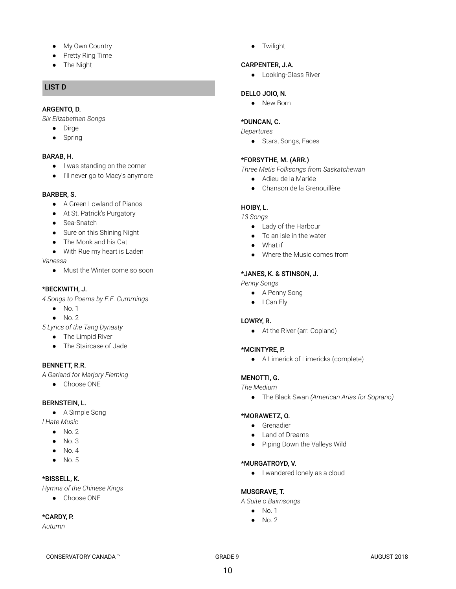- My Own Country
- Pretty Ring Time
- The Night

# LIST D

# ARGENTO, D.

*Six Elizabethan Songs*

- Dirge
- Spring

# BARAB, H.

- I was standing on the corner
- I'll never go to Macy's anymore

# BARBER, S.

- A Green Lowland of Pianos
- At St. Patrick's Purgatory
- Sea-Snatch
- Sure on this Shining Night
- The Monk and his Cat
- With Rue my heart is Laden

#### *Vanessa*

● Must the Winter come so soon

# \*BECKWITH, J.

*4 Songs to Poems by E.E. Cummings*

- $\bullet$  No. 1
- $\bullet$  No. 2
- *5 Lyrics of the Tang Dynasty*
	- The Limpid River
	- The Staircase of Jade

# BENNETT, R.R.

*A Garland for Marjory Fleming*

● Choose ONE

# BERNSTEIN, L.

● A Simple Song

*I Hate Music*

- $\bullet$  No. 2 ● No. 3
- $\bullet$  No. 4
- 
- $\bullet$  No. 5

# \*BISSELL, K.

*Hymns of the Chinese Kings*

● Choose ONE

# \*CARDY, P.

*Autumn*

● Twilight

# CARPENTER, J.A.

● Looking-Glass River

# DELLO JOIO, N.

● New Born

# \*DUNCAN, C.

*Departures*

● Stars, Songs, Faces

# \*FORSYTHE, M. (ARR.)

*Three Metis Folksongs from Saskatchewan*

- Adieu de la Mariée
- Chanson de la Grenouillère

# HOIBY, L.

*13 Songs*

- Lady of the Harbour
- To an isle in the water
- What if
- Where the Music comes from

# \*JANES, K. & STINSON, J.

*Penny Songs*

- A Penny Song
- I Can Fly

# LOWRY, R.

● At the River (arr. Copland)

# \*MCINTYRE, P.

● A Limerick of Limericks (complete)

# MENOTTI, G.

*The Medium*

● The Black Swan *(American Arias for Soprano)*

# \*MORAWETZ, O.

- Grenadier
- Land of Dreams
- Piping Down the Valleys Wild

# \*MURGATROYD, V.

● I wandered lonely as a cloud

# MUSGRAVE, T.

*A Suite o Bairnsongs*

- $\bullet$  No. 1
- $\bullet$  No. 2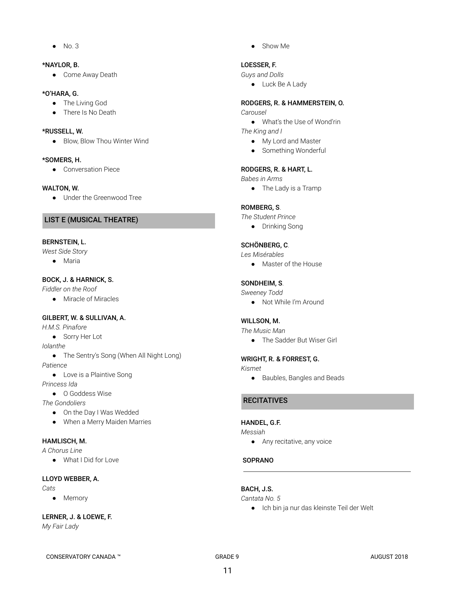● No. 3

# \*NAYLOR, B.

● Come Away Death

### \*O'HARA, G.

- The Living God
- There Is No Death

### \*RUSSELL, W.

● Blow, Blow Thou Winter Wind

#### \*SOMERS, H.

● Conversation Piece

### WALTON, W.

● Under the Greenwood Tree

# LIST E (MUSICAL THEATRE)

# BERNSTEIN, L.

*West Side Story*

● Maria

# BOCK, J. & HARNICK, S.

*Fiddler on the Roof*

● Miracle of Miracles

# GILBERT, W. & SULLIVAN, A.

*H.M.S. Pinafore*

● Sorry Her Lot

*Iolanthe*

● The Sentry's Song (When All Night Long)

#### *Patience*

● Love is a Plaintive Song

*Princess Ida*

● O Goddess Wise

*The Gondoliers*

- On the Day I Was Wedded
- When a Merry Maiden Marries

# HAMLISCH, M.

*A Chorus Line*

● What I Did for Love

# LLOYD WEBBER, A.

- *Cats*
	- Memory

# LERNER, J. & LOEWE, F.

*My Fair Lady*

● Show Me

# LOESSER, F.

*Guys and Dolls*

● Luck Be A Lady

# RODGERS, R. & HAMMERSTEIN, O.

*Carousel*

- What's the Use of Wond'rin
- *The King and I*
	- My Lord and Master
	- Something Wonderful

# RODGERS, R. & HART, L.

*Babes in Arms*

● The Lady is a Tramp

# ROMBERG, S.

*The Student Prince*

● Drinking Song

# SCHÖNBERG, C.

*Les Misérables*

● Master of the House

# SONDHEIM, S.

- *Sweeney Todd*
	- Not While I'm Around

# WILLSON, M.

*The Music Man*

● The Sadder But Wiser Girl

# WRIGHT, R. & FORREST, G.

*Kismet*

● Baubles, Bangles and Beads

# **RECITATIVES**

# HANDEL, G.F.

*Messiah*

● Any recitative, any voice

# **SOPRANO**

# BACH, J.S.

#### *Cantata No. 5*

● Ich bin ja nur das kleinste Teil der Welt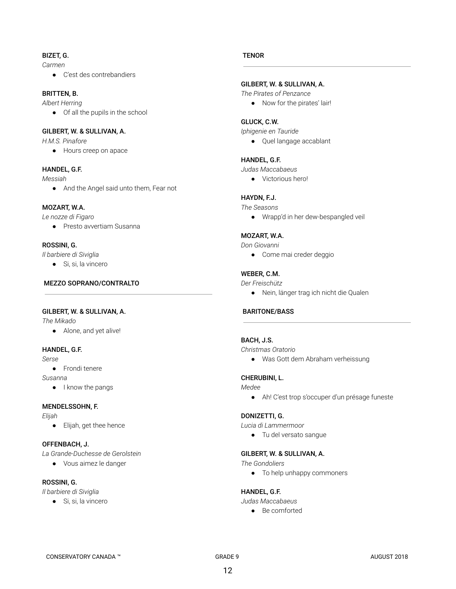# BIZET, G.

*Carmen*

● C'est des contrebandiers

# BRITTEN, B.

*Albert Herring*

● Of all the pupils in the school

# GILBERT, W. & SULLIVAN, A.

*H.M.S. Pinafore*

● Hours creep on apace

# HANDEL, G.F.

*Messiah*

● And the Angel said unto them, Fear not

# MOZART, W.A.

*Le nozze di Figaro*

● Presto avvertiam Susanna

# ROSSINI, G.

*Il barbiere di Siviglia*

● Si, si, la vincero

# MEZZO SOPRANO/CONTRALTO

# GILBERT, W. & SULLIVAN, A.

*The Mikado*

● Alone, and yet alive!

# HANDEL, G.F.

*Serse*

- Frondi tenere
- *Susanna*
	- I know the pangs

# MENDELSSOHN, F.

*Elijah*

● Elijah, get thee hence

# OFFENBACH, J.

*La Grande-Duchesse de Gerolstein*

● Vous aimez le danger

# ROSSINI, G.

*Il barbiere di Siviglia*

● Si, si, la vincero

# **TENOR**

# GILBERT, W. & SULLIVAN, A.

*The Pirates of Penzance*

● Now for the pirates' lair!

# GLUCK, C.W.

*Iphigenie en Tauride*

● Quel langage accablant

# HANDEL, G.F.

*Judas Maccabaeus*

● Victorious hero!

# HAYDN, F.J.

*The Seasons*

● Wrapp'd in her dew-bespangled veil

# MOZART, W.A.

*Don Giovanni*

● Come mai creder deggio

# WEBER, C.M.

### *Der Freischütz*

● Nein, länger trag ich nicht die Qualen

# BARITONE/BASS

# BACH, J.S.

*Christmas Oratorio*

● Was Gott dem Abraham verheissung

# CHERUBINI, L.

*Medee*

● Ah! C'est trop s'occuper d'un présage funeste

# DONIZETTI, G.

*Lucia di Lammermoor*

● Tu del versato sangue

# GILBERT, W. & SULLIVAN, A.

*The Gondoliers*

● To help unhappy commoners

# HANDEL, G.F.

*Judas Maccabaeus*

● Be comforted